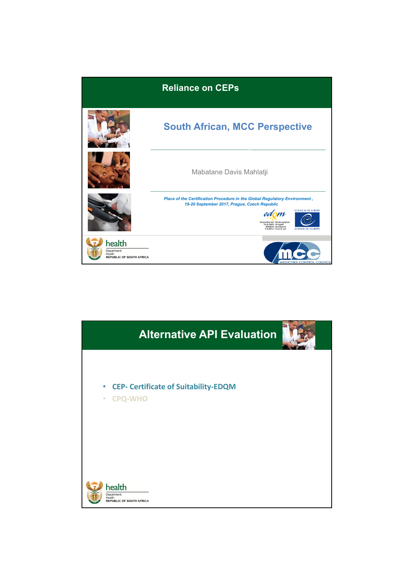

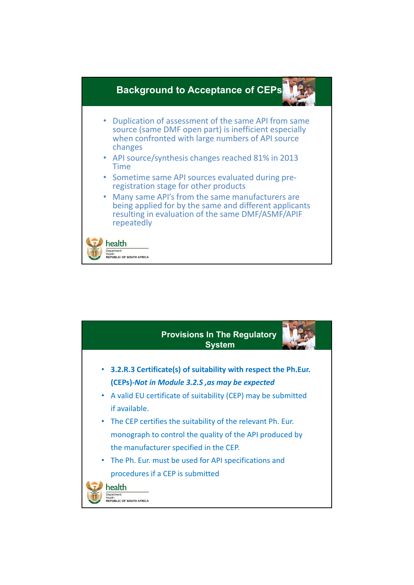

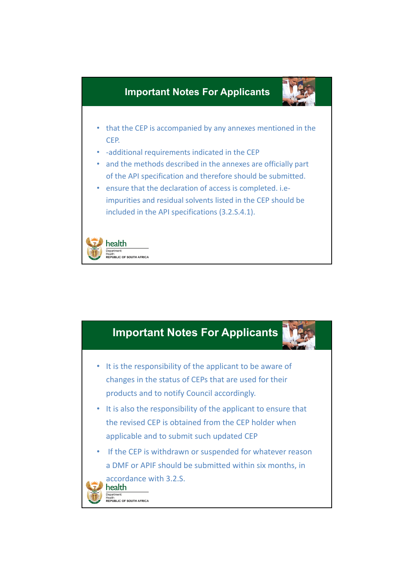

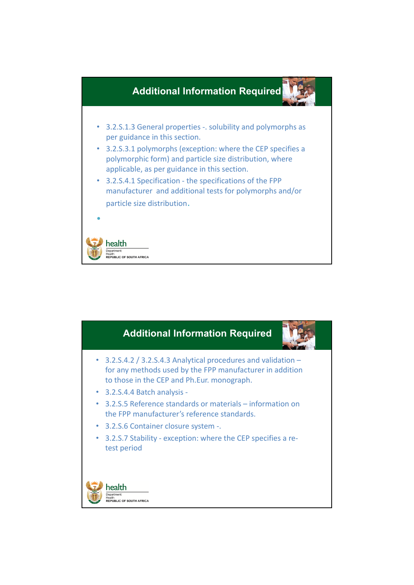

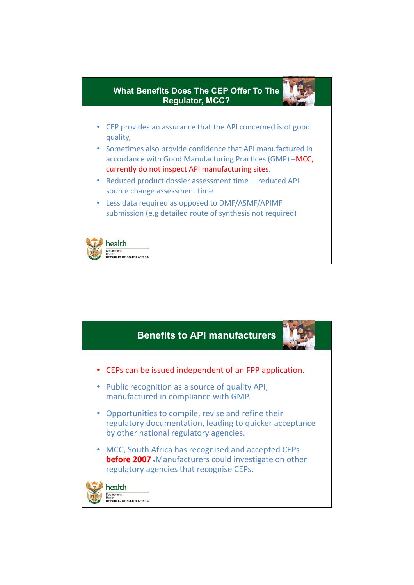

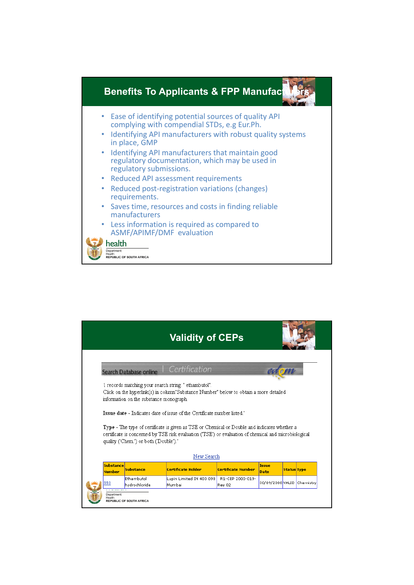

|                                   |                                         | <b>Validity of CEPs</b>                                                                                                                                                                               |                            |                            |                    |  |
|-----------------------------------|-----------------------------------------|-------------------------------------------------------------------------------------------------------------------------------------------------------------------------------------------------------|----------------------------|----------------------------|--------------------|--|
|                                   | Search Database online                  | Certification                                                                                                                                                                                         |                            |                            |                    |  |
|                                   | information on the substance monograph. | 1 records matching your search string: " ethambutol".<br>Click on the hyperlink(s) in column"Substance Number" below to obtain a more detailed                                                        |                            |                            |                    |  |
|                                   |                                         | Issue date - Indicates date of issue of the Certificate number listed."                                                                                                                               |                            |                            |                    |  |
|                                   | quality ('Chem.') or both ('Double').'  | Type - The type of certificate is given as TSE or Chemical or Double and indicates whether a<br>certificate is concerned by TSE risk evaluation ('TSE') or evaluation of chemical and microbiological |                            |                            |                    |  |
| New Search                        |                                         |                                                                                                                                                                                                       |                            |                            |                    |  |
| <b>Substance</b><br><b>Number</b> | <b>Substance</b>                        | <b>Certificate Holder</b>                                                                                                                                                                             | <b>Certificate Number</b>  | Issue<br>Date              | <b>Status Type</b> |  |
| 553                               | Ethambutol<br>hydrochloride             | Lupin Limited IN 400 098<br>Mumbai                                                                                                                                                                    | R1-CEP 2000-019-<br>Rev 02 | 30/09/2008 VALID Chemistry |                    |  |
| Department:<br>Health             | <b>REPUBLIC OF SOUTH AFRICA</b>         |                                                                                                                                                                                                       |                            |                            |                    |  |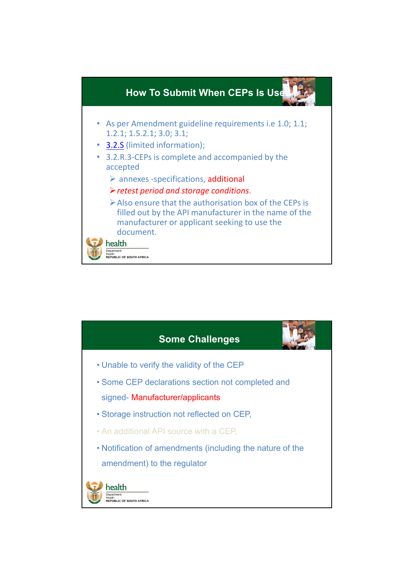